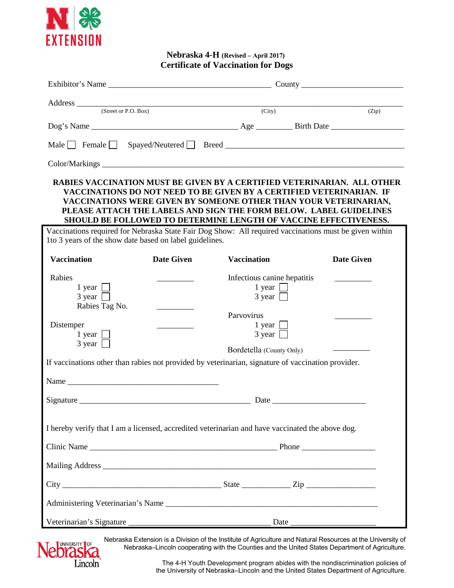

## **Nebraska 4-H (Revised – April 2017) Certificate of Vaccination for Dogs**

|                                                                                                                                                                                                                                                                                                                                                               |                   | Exhibitor's Name                                                            |  |                       |  |
|---------------------------------------------------------------------------------------------------------------------------------------------------------------------------------------------------------------------------------------------------------------------------------------------------------------------------------------------------------------|-------------------|-----------------------------------------------------------------------------|--|-----------------------|--|
| Address (Street or P.O. Box)                                                                                                                                                                                                                                                                                                                                  |                   | $\overline{(City)}$                                                         |  | (Zip)                 |  |
|                                                                                                                                                                                                                                                                                                                                                               |                   |                                                                             |  |                       |  |
|                                                                                                                                                                                                                                                                                                                                                               |                   |                                                                             |  |                       |  |
|                                                                                                                                                                                                                                                                                                                                                               |                   |                                                                             |  |                       |  |
|                                                                                                                                                                                                                                                                                                                                                               |                   |                                                                             |  |                       |  |
| RABIES VACCINATION MUST BE GIVEN BY A CERTIFIED VETERINARIAN. ALL OTHER<br>VACCINATIONS DO NOT NEED TO BE GIVEN BY A CERTIFIED VETERINARIAN. IF<br>VACCINATIONS WERE GIVEN BY SOMEONE OTHER THAN YOUR VETERINARIAN,<br>PLEASE ATTACH THE LABELS AND SIGN THE FORM BELOW. LABEL GUIDELINES<br>SHOULD BE FOLLOWED TO DETERMINE LENGTH OF VACCINE EFFECTIVENESS. |                   |                                                                             |  |                       |  |
| Vaccinations required for Nebraska State Fair Dog Show: All required vaccinations must be given within<br>1to 3 years of the show date based on label guidelines.                                                                                                                                                                                             |                   |                                                                             |  |                       |  |
| <b>Vaccination</b>                                                                                                                                                                                                                                                                                                                                            | <b>Date Given</b> | <b>Vaccination</b>                                                          |  | <b>Date Given</b>     |  |
| Rabies<br>1 year $\Box$<br>$3 \text{ year}$<br>Rabies Tag No.                                                                                                                                                                                                                                                                                                 |                   | Infectious canine hepatitis<br>1 year $\Box$<br>$3 \text{ year}$            |  | <u> Communication</u> |  |
| Distemper<br>1 year $\Box$<br>$3 \text{ year}$                                                                                                                                                                                                                                                                                                                |                   | Parvovirus<br>1 year $\Box$<br>$3 \text{ year}$<br>Bordetella (County Only) |  |                       |  |
| If vaccinations other than rabies not provided by veterinarian, signature of vaccination provider.                                                                                                                                                                                                                                                            |                   |                                                                             |  |                       |  |
|                                                                                                                                                                                                                                                                                                                                                               |                   |                                                                             |  |                       |  |
|                                                                                                                                                                                                                                                                                                                                                               |                   |                                                                             |  |                       |  |
| I hereby verify that I am a licensed, accredited veterinarian and have vaccinated the above dog.                                                                                                                                                                                                                                                              |                   |                                                                             |  |                       |  |
|                                                                                                                                                                                                                                                                                                                                                               |                   |                                                                             |  |                       |  |
|                                                                                                                                                                                                                                                                                                                                                               |                   |                                                                             |  |                       |  |
|                                                                                                                                                                                                                                                                                                                                                               |                   |                                                                             |  |                       |  |
|                                                                                                                                                                                                                                                                                                                                                               |                   |                                                                             |  |                       |  |
| Veterinarian's Signature                                                                                                                                                                                                                                                                                                                                      |                   |                                                                             |  |                       |  |



Nebraska Extension is a Division of the Institute of Agriculture and Natural Resources at the University of Nebraska–Lincoln cooperating with the Counties and the United States Department of Agriculture.